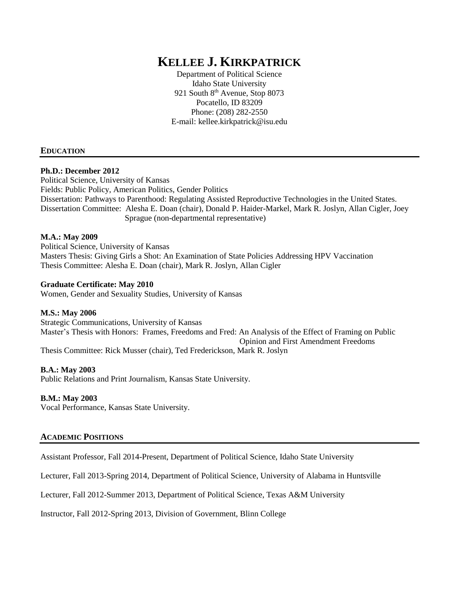# **KELLEE J. KIRKPATRICK**

Department of Political Science Idaho State University 921 South 8<sup>th</sup> Avenue, Stop 8073 Pocatello, ID 83209 Phone: (208) 282-2550 E-mail: kellee.kirkpatrick@isu.edu

#### **EDUCATION**

#### **Ph.D.: December 2012**

Political Science, University of Kansas Fields: Public Policy, American Politics, Gender Politics Dissertation: Pathways to Parenthood: Regulating Assisted Reproductive Technologies in the United States. Dissertation Committee: Alesha E. Doan (chair), Donald P. Haider-Markel, Mark R. Joslyn, Allan Cigler, Joey Sprague (non-departmental representative)

#### **M.A.: May 2009**

Political Science, University of Kansas Masters Thesis: Giving Girls a Shot: An Examination of State Policies Addressing HPV Vaccination Thesis Committee: Alesha E. Doan (chair), Mark R. Joslyn, Allan Cigler

#### **Graduate Certificate: May 2010**

Women, Gender and Sexuality Studies, University of Kansas

#### **M.S.: May 2006**

Strategic Communications, University of Kansas Master's Thesis with Honors: Frames, Freedoms and Fred: An Analysis of the Effect of Framing on Public Opinion and First Amendment Freedoms Thesis Committee: Rick Musser (chair), Ted Frederickson, Mark R. Joslyn

#### **B.A.: May 2003**

Public Relations and Print Journalism, Kansas State University.

#### **B.M.: May 2003**

Vocal Performance, Kansas State University.

#### **ACADEMIC POSITIONS**

Assistant Professor, Fall 2014-Present, Department of Political Science, Idaho State University

Lecturer, Fall 2013-Spring 2014, Department of Political Science, University of Alabama in Huntsville

Lecturer, Fall 2012-Summer 2013, Department of Political Science, Texas A&M University

Instructor, Fall 2012-Spring 2013, Division of Government, Blinn College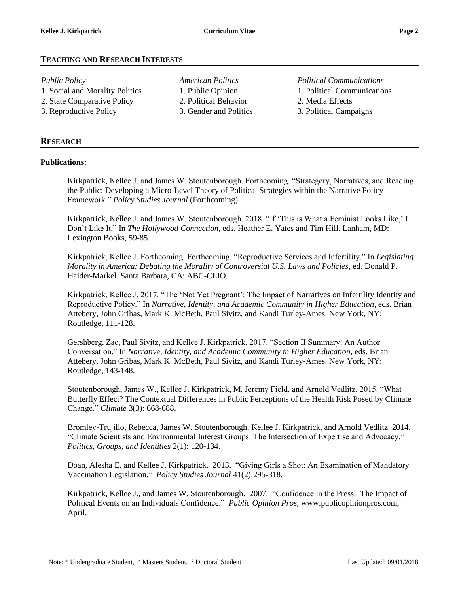### **TEACHING AND RESEARCH INTERESTS**

- 1. Social and Morality Politics 1. Public Opinion 1. Political Communications 2. State Comparative Policy 2. Political Behavior 2. Media Effects
- 
- 3. Reproductive Policy 3. Gender and Politics 3. Political Campaigns
- *Public Policy American Politics Political Communications*

#### **RESEARCH**

#### **Publications:**

Kirkpatrick, Kellee J. and James W. Stoutenborough. Forthcoming. "Strategery, Narratives, and Reading the Public: Developing a Micro-Level Theory of Political Strategies within the Narrative Policy Framework." *Policy Studies Journal* (Forthcoming).

Kirkpatrick, Kellee J. and James W. Stoutenborough. 2018. "If 'This is What a Feminist Looks Like,' I Don't Like It." In *The Hollywood Connection*, eds. Heather E. Yates and Tim Hill. Lanham, MD: Lexington Books, 59-85.

Kirkpatrick, Kellee J. Forthcoming. Forthcoming. "Reproductive Services and Infertility." In *Legislating Morality in America: Debating the Morality of Controversial U.S. Laws and Policies*, ed. Donald P. Haider-Markel. Santa Barbara, CA: ABC-CLIO.

Kirkpatrick, Kellee J. 2017. "The 'Not Yet Pregnant': The Impact of Narratives on Infertility Identity and Reproductive Policy." In *Narrative, Identity, and Academic Community in Higher Education*, eds. Brian Attebery, John Gribas, Mark K. McBeth, Paul Sivitz, and Kandi Turley-Ames. New York, NY: Routledge, 111-128.

Gershberg, Zac, Paul Sivitz, and Kellee J. Kirkpatrick. 2017. "Section II Summary: An Author Conversation." In *Narrative, Identity, and Academic Community in Higher Education*, eds. Brian Attebery, John Gribas, Mark K. McBeth, Paul Sivitz, and Kandi Turley-Ames. New York, NY: Routledge, 143-148.

Stoutenborough, James W., Kellee J. Kirkpatrick, M. Jeremy Field, and Arnold Vedlitz. 2015. "What Butterfly Effect? The Contextual Differences in Public Perceptions of the Health Risk Posed by Climate Change." *Climate* 3(3): 668-688.

Bromley-Trujillo, Rebecca, James W. Stoutenborough, Kellee J. Kirkpatrick, and Arnold Vedlitz. 2014. "Climate Scientists and Environmental Interest Groups: The Intersection of Expertise and Advocacy." *Politics, Groups, and Identities* 2(1): 120-134.

Doan, Alesha E. and Kellee J. Kirkpatrick. 2013. "Giving Girls a Shot: An Examination of Mandatory Vaccination Legislation." *Policy Studies Journal* 41(2):295-318.

Kirkpatrick, Kellee J., and James W. Stoutenborough. 2007. "Confidence in the Press: The Impact of Political Events on an Individuals Confidence." *Public Opinion Pros*, www.publicopinionpros.com, April.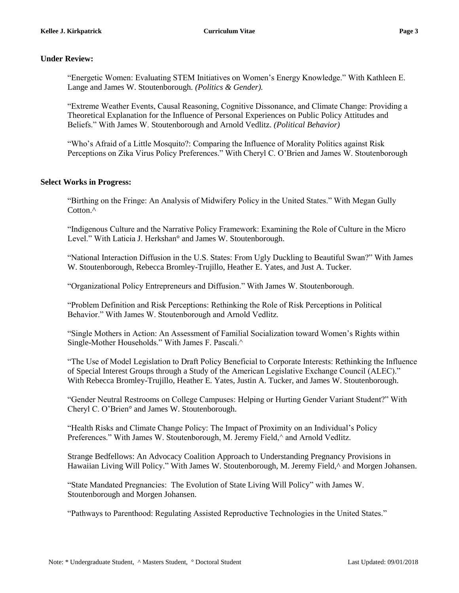### **Under Review:**

"Energetic Women: Evaluating STEM Initiatives on Women's Energy Knowledge." With Kathleen E. Lange and James W. Stoutenborough. *(Politics & Gender).*

"Extreme Weather Events, Causal Reasoning, Cognitive Dissonance, and Climate Change: Providing a Theoretical Explanation for the Influence of Personal Experiences on Public Policy Attitudes and Beliefs." With James W. Stoutenborough and Arnold Vedlitz. *(Political Behavior)*

"Who's Afraid of a Little Mosquito?: Comparing the Influence of Morality Politics against Risk Perceptions on Zika Virus Policy Preferences." With Cheryl C. O'Brien and James W. Stoutenborough

#### **Select Works in Progress:**

"Birthing on the Fringe: An Analysis of Midwifery Policy in the United States." With Megan Gully Cotton.<sup>^</sup>

"Indigenous Culture and the Narrative Policy Framework: Examining the Role of Culture in the Micro Level." With Laticia J. Herkshan° and James W. Stoutenborough.

"National Interaction Diffusion in the U.S. States: From Ugly Duckling to Beautiful Swan?" With James W. Stoutenborough, Rebecca Bromley-Trujillo, Heather E. Yates, and Just A. Tucker.

"Organizational Policy Entrepreneurs and Diffusion." With James W. Stoutenborough.

"Problem Definition and Risk Perceptions: Rethinking the Role of Risk Perceptions in Political Behavior." With James W. Stoutenborough and Arnold Vedlitz.

"Single Mothers in Action: An Assessment of Familial Socialization toward Women's Rights within Single-Mother Households." With James F. Pascali.^

"The Use of Model Legislation to Draft Policy Beneficial to Corporate Interests: Rethinking the Influence of Special Interest Groups through a Study of the American Legislative Exchange Council (ALEC)." With Rebecca Bromley-Trujillo, Heather E. Yates, Justin A. Tucker, and James W. Stoutenborough.

"Gender Neutral Restrooms on College Campuses: Helping or Hurting Gender Variant Student?" With Cheryl C. O'Brien° and James W. Stoutenborough.

"Health Risks and Climate Change Policy: The Impact of Proximity on an Individual's Policy Preferences." With James W. Stoutenborough, M. Jeremy Field, $\land$  and Arnold Vedlitz.

Strange Bedfellows: An Advocacy Coalition Approach to Understanding Pregnancy Provisions in Hawaiian Living Will Policy." With James W. Stoutenborough, M. Jeremy Field,^ and Morgen Johansen.

"State Mandated Pregnancies: The Evolution of State Living Will Policy" with James W. Stoutenborough and Morgen Johansen.

"Pathways to Parenthood: Regulating Assisted Reproductive Technologies in the United States."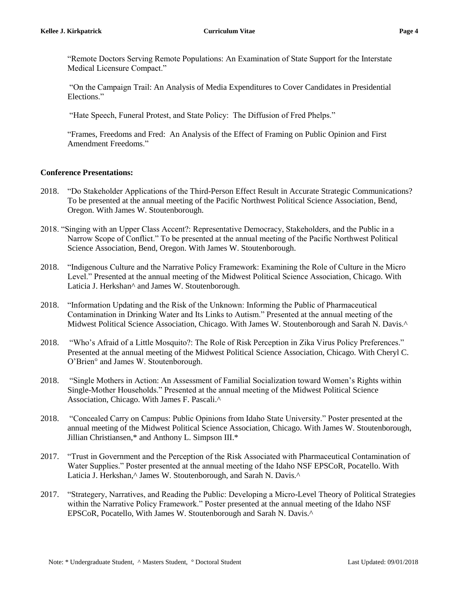"Remote Doctors Serving Remote Populations: An Examination of State Support for the Interstate Medical Licensure Compact."

"On the Campaign Trail: An Analysis of Media Expenditures to Cover Candidates in Presidential Elections."

"Hate Speech, Funeral Protest, and State Policy: The Diffusion of Fred Phelps."

"Frames, Freedoms and Fred: An Analysis of the Effect of Framing on Public Opinion and First Amendment Freedoms."

#### **Conference Presentations:**

- 2018. "Do Stakeholder Applications of the Third-Person Effect Result in Accurate Strategic Communications? To be presented at the annual meeting of the Pacific Northwest Political Science Association, Bend, Oregon. With James W. Stoutenborough.
- 2018. "Singing with an Upper Class Accent?: Representative Democracy, Stakeholders, and the Public in a Narrow Scope of Conflict." To be presented at the annual meeting of the Pacific Northwest Political Science Association, Bend, Oregon. With James W. Stoutenborough.
- 2018. "Indigenous Culture and the Narrative Policy Framework: Examining the Role of Culture in the Micro Level." Presented at the annual meeting of the Midwest Political Science Association, Chicago. With Laticia J. Herkshan^ and James W. Stoutenborough.
- 2018. "Information Updating and the Risk of the Unknown: Informing the Public of Pharmaceutical Contamination in Drinking Water and Its Links to Autism." Presented at the annual meeting of the Midwest Political Science Association, Chicago. With James W. Stoutenborough and Sarah N. Davis.^
- 2018. "Who's Afraid of a Little Mosquito?: The Role of Risk Perception in Zika Virus Policy Preferences." Presented at the annual meeting of the Midwest Political Science Association, Chicago. With Cheryl C. O'Brien° and James W. Stoutenborough.
- 2018. "Single Mothers in Action: An Assessment of Familial Socialization toward Women's Rights within Single-Mother Households." Presented at the annual meeting of the Midwest Political Science Association, Chicago. With James F. Pascali.^
- 2018. "Concealed Carry on Campus: Public Opinions from Idaho State University." Poster presented at the annual meeting of the Midwest Political Science Association, Chicago. With James W. Stoutenborough, Jillian Christiansen,\* and Anthony L. Simpson III.\*
- 2017. "Trust in Government and the Perception of the Risk Associated with Pharmaceutical Contamination of Water Supplies." Poster presented at the annual meeting of the Idaho NSF EPSCoR, Pocatello. With Laticia J. Herkshan,^ James W. Stoutenborough, and Sarah N. Davis.^
- 2017. "Strategery, Narratives, and Reading the Public: Developing a Micro-Level Theory of Political Strategies within the Narrative Policy Framework." Poster presented at the annual meeting of the Idaho NSF EPSCoR, Pocatello, With James W. Stoutenborough and Sarah N. Davis.^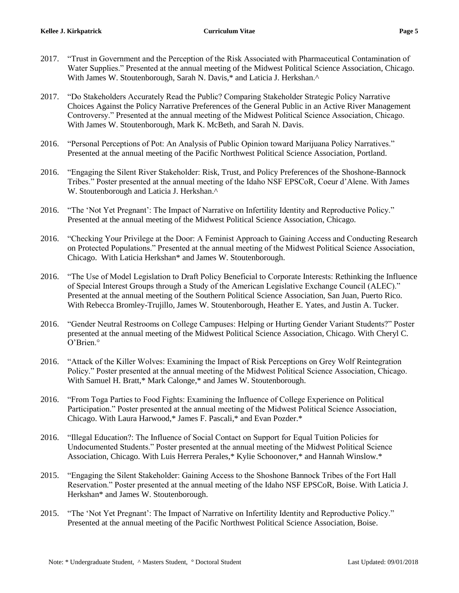- 2017. "Trust in Government and the Perception of the Risk Associated with Pharmaceutical Contamination of Water Supplies." Presented at the annual meeting of the Midwest Political Science Association, Chicago. With James W. Stoutenborough, Sarah N. Davis,\* and Laticia J. Herkshan.^
- 2017. "Do Stakeholders Accurately Read the Public? Comparing Stakeholder Strategic Policy Narrative Choices Against the Policy Narrative Preferences of the General Public in an Active River Management Controversy." Presented at the annual meeting of the Midwest Political Science Association, Chicago. With James W. Stoutenborough, Mark K. McBeth, and Sarah N. Davis.
- 2016. "Personal Perceptions of Pot: An Analysis of Public Opinion toward Marijuana Policy Narratives." Presented at the annual meeting of the Pacific Northwest Political Science Association, Portland.
- 2016. "Engaging the Silent River Stakeholder: Risk, Trust, and Policy Preferences of the Shoshone-Bannock Tribes." Poster presented at the annual meeting of the Idaho NSF EPSCoR, Coeur d'Alene. With James W. Stoutenborough and Laticia J. Herkshan.^
- 2016. "The 'Not Yet Pregnant': The Impact of Narrative on Infertility Identity and Reproductive Policy." Presented at the annual meeting of the Midwest Political Science Association, Chicago.
- 2016. "Checking Your Privilege at the Door: A Feminist Approach to Gaining Access and Conducting Research on Protected Populations." Presented at the annual meeting of the Midwest Political Science Association, Chicago. With Laticia Herkshan\* and James W. Stoutenborough.
- 2016. "The Use of Model Legislation to Draft Policy Beneficial to Corporate Interests: Rethinking the Influence of Special Interest Groups through a Study of the American Legislative Exchange Council (ALEC)." Presented at the annual meeting of the Southern Political Science Association, San Juan, Puerto Rico. With Rebecca Bromley-Trujillo, James W. Stoutenborough, Heather E. Yates, and Justin A. Tucker.
- 2016. "Gender Neutral Restrooms on College Campuses: Helping or Hurting Gender Variant Students?" Poster presented at the annual meeting of the Midwest Political Science Association, Chicago. With Cheryl C. O'Brien.°
- 2016. "Attack of the Killer Wolves: Examining the Impact of Risk Perceptions on Grey Wolf Reintegration Policy." Poster presented at the annual meeting of the Midwest Political Science Association, Chicago. With Samuel H. Bratt,\* Mark Calonge,\* and James W. Stoutenborough.
- 2016. "From Toga Parties to Food Fights: Examining the Influence of College Experience on Political Participation." Poster presented at the annual meeting of the Midwest Political Science Association, Chicago. With Laura Harwood,\* James F. Pascali,\* and Evan Pozder.\*
- 2016. "Illegal Education?: The Influence of Social Contact on Support for Equal Tuition Policies for Undocumented Students." Poster presented at the annual meeting of the Midwest Political Science Association, Chicago. With Luis Herrera Perales,\* Kylie Schoonover,\* and Hannah Winslow.\*
- 2015. "Engaging the Silent Stakeholder: Gaining Access to the Shoshone Bannock Tribes of the Fort Hall Reservation." Poster presented at the annual meeting of the Idaho NSF EPSCoR, Boise. With Laticia J. Herkshan\* and James W. Stoutenborough.
- 2015. "The 'Not Yet Pregnant': The Impact of Narrative on Infertility Identity and Reproductive Policy." Presented at the annual meeting of the Pacific Northwest Political Science Association, Boise.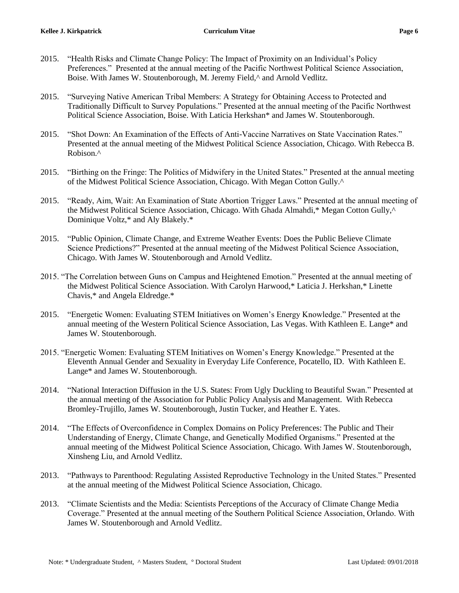- 2015. "Health Risks and Climate Change Policy: The Impact of Proximity on an Individual's Policy Preferences." Presented at the annual meeting of the Pacific Northwest Political Science Association, Boise. With James W. Stoutenborough, M. Jeremy Field,^ and Arnold Vedlitz.
- 2015. "Surveying Native American Tribal Members: A Strategy for Obtaining Access to Protected and Traditionally Difficult to Survey Populations." Presented at the annual meeting of the Pacific Northwest Political Science Association, Boise. With Laticia Herkshan\* and James W. Stoutenborough.
- 2015. "Shot Down: An Examination of the Effects of Anti-Vaccine Narratives on State Vaccination Rates." Presented at the annual meeting of the Midwest Political Science Association, Chicago. With Rebecca B. Robison.^
- 2015. "Birthing on the Fringe: The Politics of Midwifery in the United States." Presented at the annual meeting of the Midwest Political Science Association, Chicago. With Megan Cotton Gully.^
- 2015. "Ready, Aim, Wait: An Examination of State Abortion Trigger Laws." Presented at the annual meeting of the Midwest Political Science Association, Chicago. With Ghada Almahdi,\* Megan Cotton Gully,^ Dominique Voltz,\* and Aly Blakely.\*
- 2015. "Public Opinion, Climate Change, and Extreme Weather Events: Does the Public Believe Climate Science Predictions?" Presented at the annual meeting of the Midwest Political Science Association, Chicago. With James W. Stoutenborough and Arnold Vedlitz.
- 2015. "The Correlation between Guns on Campus and Heightened Emotion." Presented at the annual meeting of the Midwest Political Science Association. With Carolyn Harwood,\* Laticia J. Herkshan,\* Linette Chavis,\* and Angela Eldredge.\*
- 2015. "Energetic Women: Evaluating STEM Initiatives on Women's Energy Knowledge." Presented at the annual meeting of the Western Political Science Association, Las Vegas. With Kathleen E. Lange\* and James W. Stoutenborough.
- 2015. "Energetic Women: Evaluating STEM Initiatives on Women's Energy Knowledge." Presented at the Eleventh Annual Gender and Sexuality in Everyday Life Conference, Pocatello, ID. With Kathleen E. Lange\* and James W. Stoutenborough.
- 2014. "National Interaction Diffusion in the U.S. States: From Ugly Duckling to Beautiful Swan." Presented at the annual meeting of the Association for Public Policy Analysis and Management. With Rebecca Bromley-Trujillo, James W. Stoutenborough, Justin Tucker, and Heather E. Yates.
- 2014. "The Effects of Overconfidence in Complex Domains on Policy Preferences: The Public and Their Understanding of Energy, Climate Change, and Genetically Modified Organisms." Presented at the annual meeting of the Midwest Political Science Association, Chicago. With James W. Stoutenborough, Xinsheng Liu, and Arnold Vedlitz.
- 2013. "Pathways to Parenthood: Regulating Assisted Reproductive Technology in the United States." Presented at the annual meeting of the Midwest Political Science Association, Chicago.
- 2013. "Climate Scientists and the Media: Scientists Perceptions of the Accuracy of Climate Change Media Coverage." Presented at the annual meeting of the Southern Political Science Association, Orlando. With James W. Stoutenborough and Arnold Vedlitz.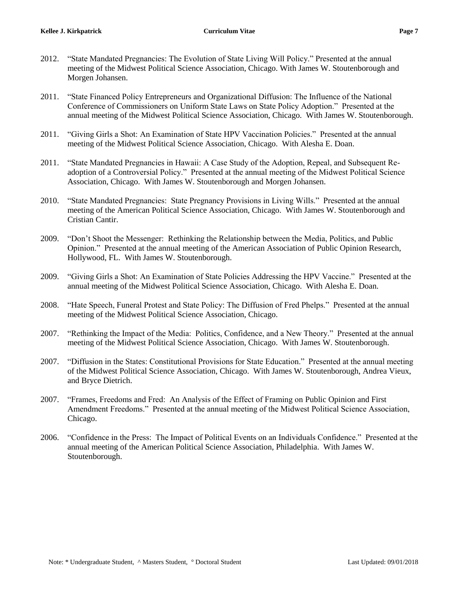- 2012. "State Mandated Pregnancies: The Evolution of State Living Will Policy." Presented at the annual meeting of the Midwest Political Science Association, Chicago. With James W. Stoutenborough and Morgen Johansen.
- 2011. "State Financed Policy Entrepreneurs and Organizational Diffusion: The Influence of the National Conference of Commissioners on Uniform State Laws on State Policy Adoption." Presented at the annual meeting of the Midwest Political Science Association, Chicago. With James W. Stoutenborough.
- 2011. "Giving Girls a Shot: An Examination of State HPV Vaccination Policies." Presented at the annual meeting of the Midwest Political Science Association, Chicago. With Alesha E. Doan.
- 2011. "State Mandated Pregnancies in Hawaii: A Case Study of the Adoption, Repeal, and Subsequent Readoption of a Controversial Policy." Presented at the annual meeting of the Midwest Political Science Association, Chicago. With James W. Stoutenborough and Morgen Johansen.
- 2010. "State Mandated Pregnancies: State Pregnancy Provisions in Living Wills." Presented at the annual meeting of the American Political Science Association, Chicago. With James W. Stoutenborough and Cristian Cantir.
- 2009. "Don't Shoot the Messenger: Rethinking the Relationship between the Media, Politics, and Public Opinion." Presented at the annual meeting of the American Association of Public Opinion Research, Hollywood, FL. With James W. Stoutenborough.
- 2009. "Giving Girls a Shot: An Examination of State Policies Addressing the HPV Vaccine." Presented at the annual meeting of the Midwest Political Science Association, Chicago. With Alesha E. Doan.
- 2008. "Hate Speech, Funeral Protest and State Policy: The Diffusion of Fred Phelps." Presented at the annual meeting of the Midwest Political Science Association, Chicago.
- 2007. "Rethinking the Impact of the Media: Politics, Confidence, and a New Theory." Presented at the annual meeting of the Midwest Political Science Association, Chicago. With James W. Stoutenborough.
- 2007. "Diffusion in the States: Constitutional Provisions for State Education." Presented at the annual meeting of the Midwest Political Science Association, Chicago. With James W. Stoutenborough, Andrea Vieux, and Bryce Dietrich.
- 2007. "Frames, Freedoms and Fred: An Analysis of the Effect of Framing on Public Opinion and First Amendment Freedoms." Presented at the annual meeting of the Midwest Political Science Association, Chicago.
- 2006. "Confidence in the Press: The Impact of Political Events on an Individuals Confidence." Presented at the annual meeting of the American Political Science Association, Philadelphia. With James W. Stoutenborough.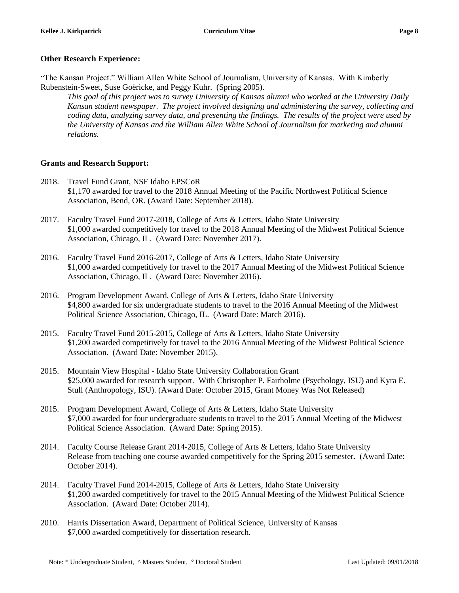#### **Other Research Experience:**

"The Kansan Project." William Allen White School of Journalism, University of Kansas. With Kimberly Rubenstein-Sweet, Suse Goëricke, and Peggy Kuhr. (Spring 2005).

*This goal of this project was to survey University of Kansas alumni who worked at the University Daily Kansan student newspaper. The project involved designing and administering the survey, collecting and coding data, analyzing survey data, and presenting the findings. The results of the project were used by the University of Kansas and the William Allen White School of Journalism for marketing and alumni relations.*

#### **Grants and Research Support:**

- 2018. Travel Fund Grant, NSF Idaho EPSCoR \$1,170 awarded for travel to the 2018 Annual Meeting of the Pacific Northwest Political Science Association, Bend, OR. (Award Date: September 2018).
- 2017. Faculty Travel Fund 2017-2018, College of Arts & Letters, Idaho State University \$1,000 awarded competitively for travel to the 2018 Annual Meeting of the Midwest Political Science Association, Chicago, IL. (Award Date: November 2017).
- 2016. Faculty Travel Fund 2016-2017, College of Arts & Letters, Idaho State University \$1,000 awarded competitively for travel to the 2017 Annual Meeting of the Midwest Political Science Association, Chicago, IL. (Award Date: November 2016).
- 2016. Program Development Award, College of Arts & Letters, Idaho State University \$4,800 awarded for six undergraduate students to travel to the 2016 Annual Meeting of the Midwest Political Science Association, Chicago, IL. (Award Date: March 2016).
- 2015. Faculty Travel Fund 2015-2015, College of Arts & Letters, Idaho State University \$1,200 awarded competitively for travel to the 2016 Annual Meeting of the Midwest Political Science Association. (Award Date: November 2015).
- 2015. Mountain View Hospital Idaho State University Collaboration Grant \$25,000 awarded for research support. With Christopher P. Fairholme (Psychology, ISU) and Kyra E. Stull (Anthropology, ISU). (Award Date: October 2015, Grant Money Was Not Released)
- 2015. Program Development Award, College of Arts & Letters, Idaho State University \$7,000 awarded for four undergraduate students to travel to the 2015 Annual Meeting of the Midwest Political Science Association. (Award Date: Spring 2015).
- 2014. Faculty Course Release Grant 2014-2015, College of Arts & Letters, Idaho State University Release from teaching one course awarded competitively for the Spring 2015 semester. (Award Date: October 2014).
- 2014. Faculty Travel Fund 2014-2015, College of Arts & Letters, Idaho State University \$1,200 awarded competitively for travel to the 2015 Annual Meeting of the Midwest Political Science Association. (Award Date: October 2014).
- 2010. Harris Dissertation Award, Department of Political Science, University of Kansas \$7,000 awarded competitively for dissertation research.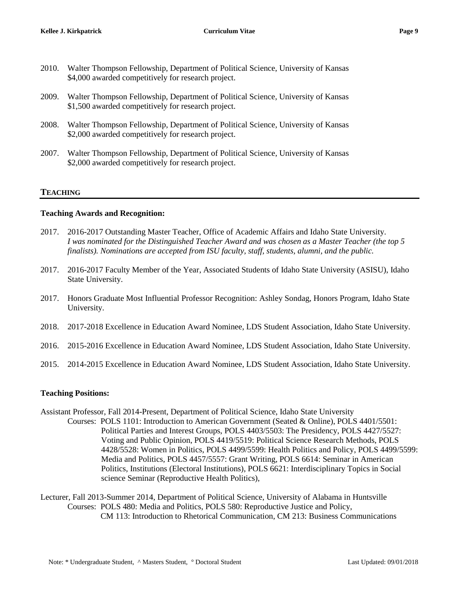- 2010. Walter Thompson Fellowship, Department of Political Science, University of Kansas \$4,000 awarded competitively for research project.
- 2009. Walter Thompson Fellowship, Department of Political Science, University of Kansas \$1,500 awarded competitively for research project.
- 2008. Walter Thompson Fellowship, Department of Political Science, University of Kansas \$2,000 awarded competitively for research project.
- 2007. Walter Thompson Fellowship, Department of Political Science, University of Kansas \$2,000 awarded competitively for research project.

### **TEACHING**

#### **Teaching Awards and Recognition:**

- 2017. 2016-2017 Outstanding Master Teacher, Office of Academic Affairs and Idaho State University. *I was nominated for the Distinguished Teacher Award and was chosen as a Master Teacher (the top 5 finalists). Nominations are accepted from ISU faculty, staff, students, alumni, and the public.*
- 2017. 2016-2017 Faculty Member of the Year, Associated Students of Idaho State University (ASISU), Idaho State University.
- 2017. Honors Graduate Most Influential Professor Recognition: Ashley Sondag, Honors Program, Idaho State University.
- 2018. 2017-2018 Excellence in Education Award Nominee, LDS Student Association, Idaho State University.
- 2016. 2015-2016 Excellence in Education Award Nominee, LDS Student Association, Idaho State University.
- 2015. 2014-2015 Excellence in Education Award Nominee, LDS Student Association, Idaho State University.

#### **Teaching Positions:**

- Assistant Professor, Fall 2014-Present, Department of Political Science, Idaho State University
	- Courses: POLS 1101: Introduction to American Government (Seated & Online), POLS 4401/5501: Political Parties and Interest Groups, POLS 4403/5503: The Presidency, POLS 4427/5527: Voting and Public Opinion, POLS 4419/5519: Political Science Research Methods, POLS 4428/5528: Women in Politics, POLS 4499/5599: Health Politics and Policy, POLS 4499/5599: Media and Politics, POLS 4457/5557: Grant Writing, POLS 6614: Seminar in American Politics, Institutions (Electoral Institutions), POLS 6621: Interdisciplinary Topics in Social science Seminar (Reproductive Health Politics),
- Lecturer, Fall 2013-Summer 2014, Department of Political Science, University of Alabama in Huntsville Courses: POLS 480: Media and Politics, POLS 580: Reproductive Justice and Policy, CM 113: Introduction to Rhetorical Communication, CM 213: Business Communications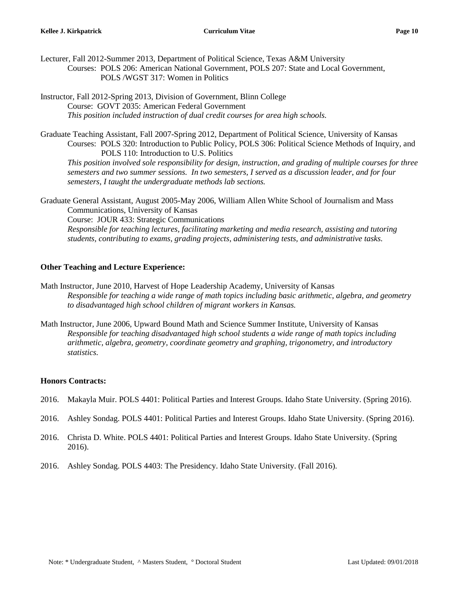Lecturer, Fall 2012-Summer 2013, Department of Political Science, Texas A&M University Courses: POLS 206: American National Government, POLS 207: State and Local Government, POLS /WGST 317: Women in Politics

Instructor, Fall 2012-Spring 2013, Division of Government, Blinn College Course: GOVT 2035: American Federal Government *This position included instruction of dual credit courses for area high schools.* 

Graduate Teaching Assistant, Fall 2007-Spring 2012, Department of Political Science, University of Kansas Courses: POLS 320: Introduction to Public Policy, POLS 306: Political Science Methods of Inquiry, and POLS 110: Introduction to U.S. Politics

*This position involved sole responsibility for design, instruction, and grading of multiple courses for three semesters and two summer sessions. In two semesters, I served as a discussion leader, and for four semesters, I taught the undergraduate methods lab sections.*

Graduate General Assistant, August 2005-May 2006, William Allen White School of Journalism and Mass Communications, University of Kansas Course: JOUR 433: Strategic Communications *Responsible for teaching lectures, facilitating marketing and media research, assisting and tutoring students, contributing to exams, grading projects, administering tests, and administrative tasks.* 

### **Other Teaching and Lecture Experience:**

- Math Instructor, June 2010, Harvest of Hope Leadership Academy, University of Kansas *Responsible for teaching a wide range of math topics including basic arithmetic, algebra, and geometry to disadvantaged high school children of migrant workers in Kansas.*
- Math Instructor, June 2006, Upward Bound Math and Science Summer Institute, University of Kansas *Responsible for teaching disadvantaged high school students a wide range of math topics including arithmetic, algebra, geometry, coordinate geometry and graphing, trigonometry, and introductory statistics.*

# **Honors Contracts:**

- 2016. Makayla Muir. POLS 4401: Political Parties and Interest Groups. Idaho State University. (Spring 2016).
- 2016. Ashley Sondag. POLS 4401: Political Parties and Interest Groups. Idaho State University. (Spring 2016).
- 2016. Christa D. White. POLS 4401: Political Parties and Interest Groups. Idaho State University. (Spring 2016).
- 2016. Ashley Sondag. POLS 4403: The Presidency. Idaho State University. (Fall 2016).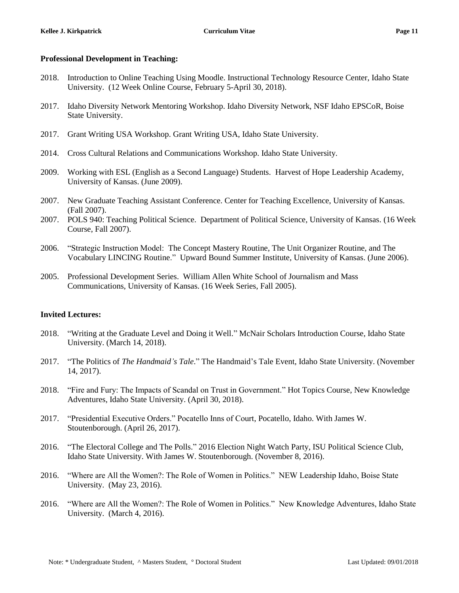#### **Professional Development in Teaching:**

- 2018. Introduction to Online Teaching Using Moodle. Instructional Technology Resource Center, Idaho State University. (12 Week Online Course, February 5-April 30, 2018).
- 2017. Idaho Diversity Network Mentoring Workshop. Idaho Diversity Network, NSF Idaho EPSCoR, Boise State University.
- 2017. Grant Writing USA Workshop. Grant Writing USA, Idaho State University.
- 2014. Cross Cultural Relations and Communications Workshop. Idaho State University.
- 2009. Working with ESL (English as a Second Language) Students. Harvest of Hope Leadership Academy, University of Kansas. (June 2009).
- 2007. New Graduate Teaching Assistant Conference. Center for Teaching Excellence, University of Kansas. (Fall 2007).
- 2007. POLS 940: Teaching Political Science. Department of Political Science, University of Kansas. (16 Week Course, Fall 2007).
- 2006. "Strategic Instruction Model: The Concept Mastery Routine, The Unit Organizer Routine, and The Vocabulary LINCING Routine." Upward Bound Summer Institute, University of Kansas. (June 2006).
- 2005. Professional Development Series. William Allen White School of Journalism and Mass Communications, University of Kansas. (16 Week Series, Fall 2005).

#### **Invited Lectures:**

- 2018. "Writing at the Graduate Level and Doing it Well." McNair Scholars Introduction Course, Idaho State University. (March 14, 2018).
- 2017. "The Politics of *The Handmaid's Tale*." The Handmaid's Tale Event, Idaho State University. (November 14, 2017).
- 2018. "Fire and Fury: The Impacts of Scandal on Trust in Government." Hot Topics Course, New Knowledge Adventures, Idaho State University. (April 30, 2018).
- 2017. "Presidential Executive Orders." Pocatello Inns of Court, Pocatello, Idaho. With James W. Stoutenborough. (April 26, 2017).
- 2016. "The Electoral College and The Polls." 2016 Election Night Watch Party, ISU Political Science Club, Idaho State University. With James W. Stoutenborough. (November 8, 2016).
- 2016. "Where are All the Women?: The Role of Women in Politics." NEW Leadership Idaho, Boise State University. (May 23, 2016).
- 2016. "Where are All the Women?: The Role of Women in Politics." New Knowledge Adventures, Idaho State University. (March 4, 2016).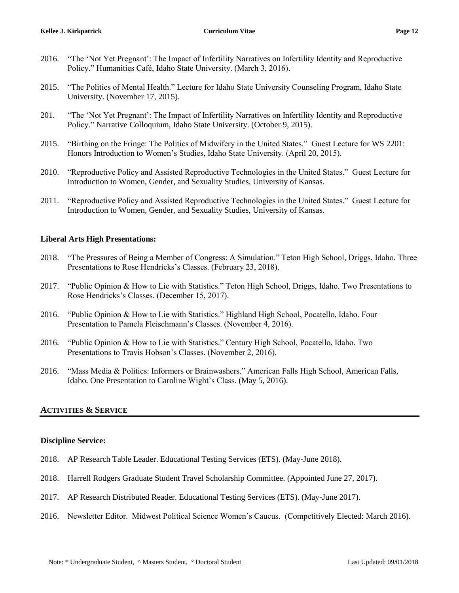- 2016. "The 'Not Yet Pregnant': The Impact of Infertility Narratives on Infertility Identity and Reproductive Policy." Humanities Café, Idaho State University. (March 3, 2016).
- 2015. "The Politics of Mental Health." Lecture for Idaho State University Counseling Program, Idaho State University. (November 17, 2015).
- 201. "The 'Not Yet Pregnant': The Impact of Infertility Narratives on Infertility Identity and Reproductive Policy." Narrative Colloquium, Idaho State University. (October 9, 2015).
- 2015. "Birthing on the Fringe: The Politics of Midwifery in the United States." Guest Lecture for WS 2201: Honors Introduction to Women's Studies, Idaho State University. (April 20, 2015).
- 2010. "Reproductive Policy and Assisted Reproductive Technologies in the United States." Guest Lecture for Introduction to Women, Gender, and Sexuality Studies, University of Kansas.
- 2011. "Reproductive Policy and Assisted Reproductive Technologies in the United States." Guest Lecture for Introduction to Women, Gender, and Sexuality Studies, University of Kansas.

### **Liberal Arts High Presentations:**

- 2018. "The Pressures of Being a Member of Congress: A Simulation." Teton High School, Driggs, Idaho. Three Presentations to Rose Hendricks's Classes. (February 23, 2018).
- 2017. "Public Opinion & How to Lie with Statistics." Teton High School, Driggs, Idaho. Two Presentations to Rose Hendricks's Classes. (December 15, 2017).
- 2016. "Public Opinion & How to Lie with Statistics." Highland High School, Pocatello, Idaho. Four Presentation to Pamela Fleischmann's Classes. (November 4, 2016).
- 2016. "Public Opinion & How to Lie with Statistics." Century High School, Pocatello, Idaho. Two Presentations to Travis Hobson's Classes. (November 2, 2016).
- 2016. "Mass Media & Politics: Informers or Brainwashers." American Falls High School, American Falls, Idaho. One Presentation to Caroline Wight's Class. (May 5, 2016).

# **ACTIVITIES & SERVICE**

#### **Discipline Service:**

- 2018. AP Research Table Leader. Educational Testing Services (ETS). (May-June 2018).
- 2018. Harrell Rodgers Graduate Student Travel Scholarship Committee. (Appointed June 27, 2017).
- 2017. AP Research Distributed Reader. Educational Testing Services (ETS). (May-June 2017).
- 2016. Newsletter Editor. Midwest Political Science Women's Caucus. (Competitively Elected: March 2016).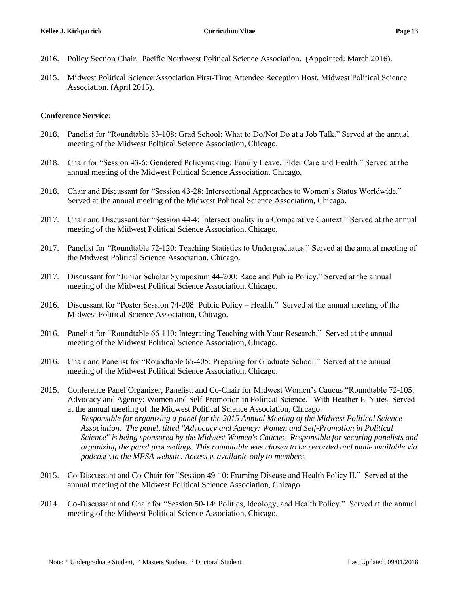- 2016. Policy Section Chair. Pacific Northwest Political Science Association. (Appointed: March 2016).
- 2015. Midwest Political Science Association First-Time Attendee Reception Host. Midwest Political Science Association. (April 2015).

### **Conference Service:**

- 2018. Panelist for "Roundtable 83-108: Grad School: What to Do/Not Do at a Job Talk." Served at the annual meeting of the Midwest Political Science Association, Chicago.
- 2018. Chair for "Session 43-6: Gendered Policymaking: Family Leave, Elder Care and Health." Served at the annual meeting of the Midwest Political Science Association, Chicago.
- 2018. Chair and Discussant for "Session 43-28: Intersectional Approaches to Women's Status Worldwide." Served at the annual meeting of the Midwest Political Science Association, Chicago.
- 2017. Chair and Discussant for "Session 44-4: Intersectionality in a Comparative Context." Served at the annual meeting of the Midwest Political Science Association, Chicago.
- 2017. Panelist for "Roundtable 72-120: Teaching Statistics to Undergraduates." Served at the annual meeting of the Midwest Political Science Association, Chicago.
- 2017. Discussant for "Junior Scholar Symposium 44-200: Race and Public Policy." Served at the annual meeting of the Midwest Political Science Association, Chicago.
- 2016. Discussant for "Poster Session 74-208: Public Policy Health." Served at the annual meeting of the Midwest Political Science Association, Chicago.
- 2016. Panelist for "Roundtable 66-110: Integrating Teaching with Your Research." Served at the annual meeting of the Midwest Political Science Association, Chicago.
- 2016. Chair and Panelist for "Roundtable 65-405: Preparing for Graduate School." Served at the annual meeting of the Midwest Political Science Association, Chicago.
- 2015. Conference Panel Organizer, Panelist, and Co-Chair for Midwest Women's Caucus "Roundtable 72-105: Advocacy and Agency: Women and Self-Promotion in Political Science." With Heather E. Yates. Served at the annual meeting of the Midwest Political Science Association, Chicago.

*Responsible for organizing a panel for the 2015 Annual Meeting of the Midwest Political Science Association. The panel, titled "Advocacy and Agency: Women and Self-Promotion in Political Science" is being sponsored by the Midwest Women's Caucus. Responsible for securing panelists and organizing the panel proceedings. This roundtable was chosen to be recorded and made available via podcast via the MPSA website. Access is available only to members.* 

- 2015. Co-Discussant and Co-Chair for "Session 49-10: Framing Disease and Health Policy II." Served at the annual meeting of the Midwest Political Science Association, Chicago.
- 2014. Co-Discussant and Chair for "Session 50-14: Politics, Ideology, and Health Policy." Served at the annual meeting of the Midwest Political Science Association, Chicago.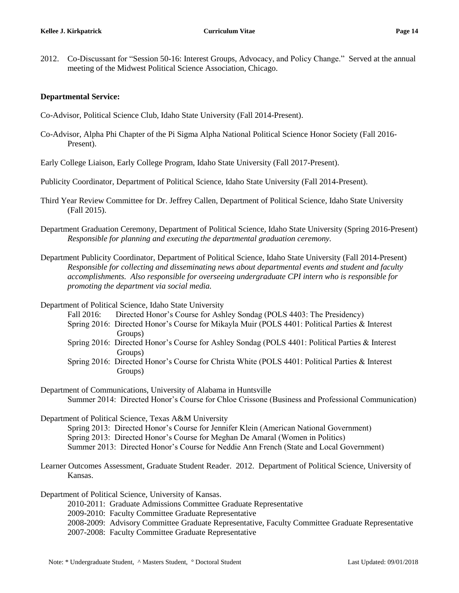2012. Co-Discussant for "Session 50-16: Interest Groups, Advocacy, and Policy Change." Served at the annual meeting of the Midwest Political Science Association, Chicago.

#### **Departmental Service:**

- Co-Advisor, Political Science Club, Idaho State University (Fall 2014-Present).
- Co-Advisor, Alpha Phi Chapter of the Pi Sigma Alpha National Political Science Honor Society (Fall 2016- Present).
- Early College Liaison, Early College Program, Idaho State University (Fall 2017-Present).
- Publicity Coordinator, Department of Political Science, Idaho State University (Fall 2014-Present).
- Third Year Review Committee for Dr. Jeffrey Callen, Department of Political Science, Idaho State University (Fall 2015).
- Department Graduation Ceremony, Department of Political Science, Idaho State University (Spring 2016-Present) *Responsible for planning and executing the departmental graduation ceremony.*
- Department Publicity Coordinator, Department of Political Science, Idaho State University (Fall 2014-Present) *Responsible for collecting and disseminating news about departmental events and student and faculty accomplishments. Also responsible for overseeing undergraduate CPI intern who is responsible for promoting the department via social media.*

Department of Political Science, Idaho State University

- Fall 2016: Directed Honor's Course for Ashley Sondag (POLS 4403: The Presidency)
- Spring 2016: Directed Honor's Course for Mikayla Muir (POLS 4401: Political Parties & Interest Groups)
- Spring 2016: Directed Honor's Course for Ashley Sondag (POLS 4401: Political Parties & Interest Groups)
- Spring 2016: Directed Honor's Course for Christa White (POLS 4401: Political Parties & Interest Groups)
- Department of Communications, University of Alabama in Huntsville Summer 2014: Directed Honor's Course for Chloe Crissone (Business and Professional Communication)

Department of Political Science, Texas A&M University Spring 2013: Directed Honor's Course for Jennifer Klein (American National Government) Spring 2013: Directed Honor's Course for Meghan De Amaral (Women in Politics) Summer 2013: Directed Honor's Course for Neddie Ann French (State and Local Government)

Learner Outcomes Assessment, Graduate Student Reader. 2012. Department of Political Science, University of Kansas.

Department of Political Science, University of Kansas.

- 2010-2011: Graduate Admissions Committee Graduate Representative
- 2009-2010: Faculty Committee Graduate Representative
- 2008-2009: Advisory Committee Graduate Representative, Faculty Committee Graduate Representative
- 2007-2008: Faculty Committee Graduate Representative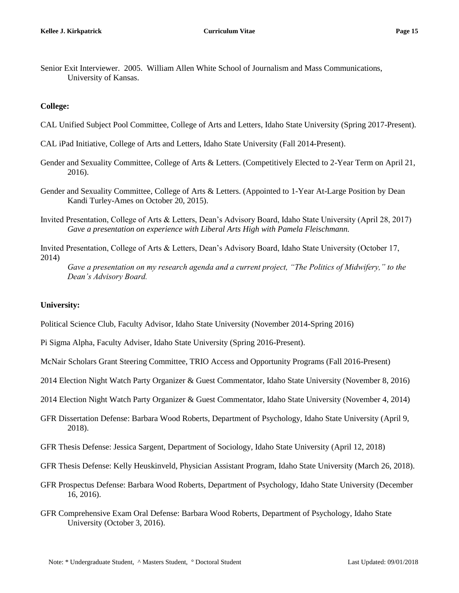Senior Exit Interviewer. 2005. William Allen White School of Journalism and Mass Communications, University of Kansas.

### **College:**

- CAL Unified Subject Pool Committee, College of Arts and Letters, Idaho State University (Spring 2017-Present).
- CAL iPad Initiative, College of Arts and Letters, Idaho State University (Fall 2014-Present).
- Gender and Sexuality Committee, College of Arts & Letters. (Competitively Elected to 2-Year Term on April 21, 2016).
- Gender and Sexuality Committee, College of Arts & Letters. (Appointed to 1-Year At-Large Position by Dean Kandi Turley-Ames on October 20, 2015).
- Invited Presentation, College of Arts & Letters, Dean's Advisory Board, Idaho State University (April 28, 2017) *Gave a presentation on experience with Liberal Arts High with Pamela Fleischmann.*
- Invited Presentation, College of Arts & Letters, Dean's Advisory Board, Idaho State University (October 17, 2014)

*Gave a presentation on my research agenda and a current project, "The Politics of Midwifery," to the Dean's Advisory Board.*

# **University:**

Political Science Club, Faculty Advisor, Idaho State University (November 2014-Spring 2016)

- Pi Sigma Alpha, Faculty Adviser, Idaho State University (Spring 2016-Present).
- McNair Scholars Grant Steering Committee, TRIO Access and Opportunity Programs (Fall 2016-Present)
- 2014 Election Night Watch Party Organizer & Guest Commentator, Idaho State University (November 8, 2016)
- 2014 Election Night Watch Party Organizer & Guest Commentator, Idaho State University (November 4, 2014)
- GFR Dissertation Defense: Barbara Wood Roberts, Department of Psychology, Idaho State University (April 9, 2018).
- GFR Thesis Defense: Jessica Sargent, Department of Sociology, Idaho State University (April 12, 2018)
- GFR Thesis Defense: Kelly Heuskinveld, Physician Assistant Program, Idaho State University (March 26, 2018).
- GFR Prospectus Defense: Barbara Wood Roberts, Department of Psychology, Idaho State University (December 16, 2016).
- GFR Comprehensive Exam Oral Defense: Barbara Wood Roberts, Department of Psychology, Idaho State University (October 3, 2016).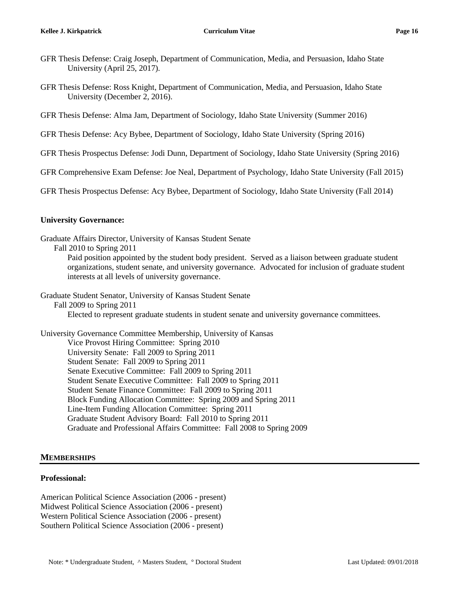- GFR Thesis Defense: Craig Joseph, Department of Communication, Media, and Persuasion, Idaho State University (April 25, 2017).
- GFR Thesis Defense: Ross Knight, Department of Communication, Media, and Persuasion, Idaho State University (December 2, 2016).
- GFR Thesis Defense: Alma Jam, Department of Sociology, Idaho State University (Summer 2016)
- GFR Thesis Defense: Acy Bybee, Department of Sociology, Idaho State University (Spring 2016)
- GFR Thesis Prospectus Defense: Jodi Dunn, Department of Sociology, Idaho State University (Spring 2016)
- GFR Comprehensive Exam Defense: Joe Neal, Department of Psychology, Idaho State University (Fall 2015)
- GFR Thesis Prospectus Defense: Acy Bybee, Department of Sociology, Idaho State University (Fall 2014)

### **University Governance:**

- Graduate Affairs Director, University of Kansas Student Senate
	- Fall 2010 to Spring 2011
		- Paid position appointed by the student body president. Served as a liaison between graduate student organizations, student senate, and university governance. Advocated for inclusion of graduate student interests at all levels of university governance.

Graduate Student Senator, University of Kansas Student Senate

Fall 2009 to Spring 2011

Elected to represent graduate students in student senate and university governance committees.

University Governance Committee Membership, University of Kansas Vice Provost Hiring Committee: Spring 2010 University Senate: Fall 2009 to Spring 2011 Student Senate: Fall 2009 to Spring 2011 Senate Executive Committee: Fall 2009 to Spring 2011 Student Senate Executive Committee: Fall 2009 to Spring 2011 Student Senate Finance Committee: Fall 2009 to Spring 2011 Block Funding Allocation Committee: Spring 2009 and Spring 2011 Line-Item Funding Allocation Committee: Spring 2011 Graduate Student Advisory Board: Fall 2010 to Spring 2011 Graduate and Professional Affairs Committee: Fall 2008 to Spring 2009

# **MEMBERSHIPS**

#### **Professional:**

American Political Science Association (2006 - present) Midwest Political Science Association (2006 - present) Western Political Science Association (2006 - present) Southern Political Science Association (2006 - present)